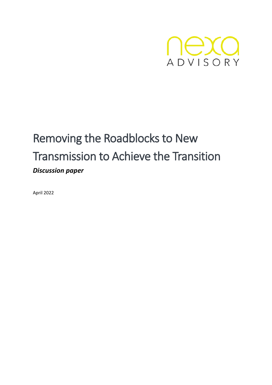

# Removing the Roadblocks to New Transmission to Achieve the Transition *Discussion paper*

April 2022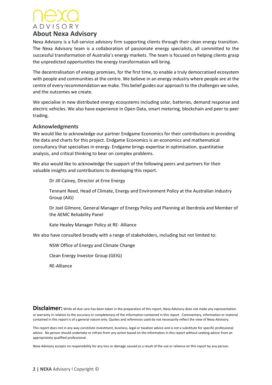# ADVISORY **About Nexa Advisory**

Nexa Advisory is a full-service advisory firm supporting clients through their clean energy transition. The Nexa Advisory team is a collaboration of passionate energy specialists, all committed to the successful transformation of Australia's energy markets. The team is focused on helping clients grasp the unpredicted opportunities the energy transformation will bring.

The decentralisation of energy promises, for the first time, to enable a truly democratised ecosystem with people and communities at the centre. We believe in an energy industry where people are at the centre of every recommendation we make. This belief guides our approach to the challenges we solve, and the outcomes we create.

We specialise in new distributed energy ecosystems including solar, batteries, demand response and electric vehicles. We also have experience in Open Data, smart metering, blockchain and peer to peer trading.

#### **Acknowledgments**

We would like to acknowledge our partner Endgame Economics for their contributions in providing the data and charts for this project. Endgame Economics is an economics and mathematical consultancy that specialises in energy. Endgame brings expertise in optimisation, quantitative analysis, and critical thinking to bear on complex problems.

We also would like to acknowledge the support of the following peers and partners for their valuable insights and contributions to developing this report.

Dr Jill Cainey, Director at Erne Energy

Tennant Reed, Head of Climate, Energy and Environment Policy at the Australian Industry Group (AiG)

Dr Joel Gilmore, General Manager of Energy Policy and Planning at Iberdrola and Member of the AEMC Reliability Panel

Kate Healey Manager Policy at RE- Alliance

We also have consulted broadly with a range of stakeholders, including but not limited to:

NSW Office of Energy and Climate Change

Clean Energy Investor Group (GEIG)

RE-Alliance

**Disclaimer:** While all due care has been taken in the preparation of this report, Nexa Advisory does not make any representation or warranty in relation to the accuracy or completeness of the information contained in this report. Commentary, information or material contained in this report is of a general nature only. Quotes and references used do not necessarily reflect the view of Nexa Advisory.

This report does not in any way constitute investment, business, legal or taxation advice and is not a substitute for specific professional advice. No person should undertake or refrain from any action based on the information in this report without seeking advice from an appropriately qualified professional.

Nexa Advisory accepts no responsibility for any loss or damage caused as a result of the use or reliance on this report by any person.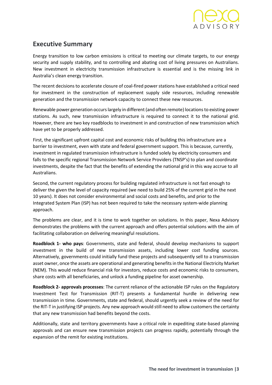

## **Executive Summary**

Energy transition to low carbon emissions is critical to meeting our climate targets, to our energy security and supply stability, and to controlling and abating cost of living pressures on Australians. New investment in electricity transmission infrastructure is essential and is the missing link in Australia's clean energy transition.

The recent decisions to accelerate closure of coal-fired power stations have established a critical need for investment in the construction of replacement supply side resources, including renewable generation and the transmission network capacity to connect these new resources.

Renewable power generation occurs largely in different (and often remote) locations to existing power stations. As such, new transmission infrastructure is required to connect it to the national grid. However, there are two key roadblocks to investment in and construction of new transmission which have yet to be properly addressed.

First, the significant upfront capital cost and economic risks of building this infrastructure are a barrier to investment, even with state and federal government support. This is because, currently, investment in regulated transmission infrastructure is funded solely by electricity consumers and falls to the specific regional Transmission Network Service Providers (TNSP's) to plan and coordinate investments, despite the fact that the benefits of extending the national grid in this way accrue to all Australians.

Second, the current regulatory process for building regulated infrastructure is not fast enough to deliver the given the level of capacity required (we need to build 25% of the current grid in the next 10 years). It does not consider environmental and social costs and benefits, and prior to the Integrated System Plan (ISP) has not been required to take the necessary system-wide planning approach.

The problems are clear, and it is time to work together on solutions. In this paper, Nexa Advisory demonstrates the problems with the current approach and offers potential solutions with the aim of facilitating collaboration on delivering meaningful resolutions.

**Roadblock 1- who pays**: Governments, state and federal, should develop mechanisms to support investment in the build of new transmission assets, including lower cost funding sources. Alternatively, governments could initially fund these projects and subsequently sell to a transmission asset owner, once the assets are operational and generating benefits in the National Electricity Market (NEM). This would reduce financial risk for investors, reduce costs and economic risks to consumers, share costs with all beneficiaries, and unlock a funding pipeline for asset ownership.

**Roadblock 2- approvals processes**: The current reliance of the actionable ISP rules on the Regulatory Investment Test for Transmission (RIT-T) presents a fundamental hurdle in delivering new transmission in time. Governments, state and federal, should urgently seek a review of the need for the RIT-T in justifying ISP projects. Any new approach would still need to allow customers the certainty that any new transmission had benefits beyond the costs.

Additionally, state and territory governments have a critical role in expediting state-based planning approvals and can ensure new transmission projects can progress rapidly, potentially through the expansion of the remit for existing institutions.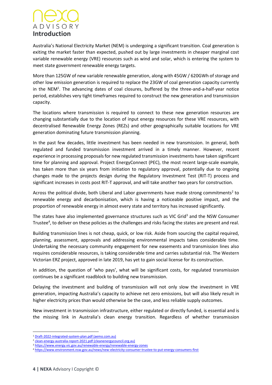# **ADVISORY Introduction**

Australia's National Electricity Market (NEM) is undergoing a significant transition. Coal generation is exiting the market faster than expected, pushed out by large investments in cheaper marginal cost variable renewable energy (VRE) resources such as wind and solar, which is entering the system to meet state government renewable energy targets.

More than 125GW of new variable renewable generation, along with 45GW / 620GWh of storage and other low emission generation is required to replace the 23GW of coal generation capacity currently in the NEM<sup>1</sup>. The advancing dates of coal closures, buffered by the three-and-a-half-year notice period, establishes very tight timeframes required to construct the new generation and transmission capacity.

The locations where transmission is required to connect to these new generation resources are changing substantially due to the location of input energy resources for these VRE resources, with decentralised Renewable Energy Zones (REZs) and other geographically suitable locations for VRE generation dominating future transmission planning.

In the past few decades, little investment has been needed in new transmission. In general, both regulated and funded transmission investment arrived in a timely manner. However, recent experience in processing proposals for new regulated transmission investments have taken significant time for planning and approval. Project EnergyConnect (PEC), the most recent large-scale example, has taken more than six years from initiation to regulatory approval, potentially due to ongoing changes made to the projects design during the Regulatory Investment Test (RIT-T) process and significant increases in costs post RIT-T approval, and will take another two years for construction.

Across the political divide, both Liberal and Labor governments have made strong commitments<sup>2</sup> to renewable energy and decarbonisation, which is having a noticeable positive impact, and the proportion of renewable energy in almost every state and territory has increased significantly.

The states have also implemented governance structures such as VIC Grid<sup>3</sup> and the NSW Consumer Trustee<sup>4</sup>, to deliver on these policies as the challenges and risks facing the states are present and real.

Building transmission lines is not cheap, quick, or low risk. Aside from sourcing the capital required, planning, assessment, approvals and addressing environmental impacts takes considerable time. Undertaking the necessary community engagement for new easements and transmission lines also requires considerable resources, is taking considerable time and carries substantial risk. The Western Victorian ERZ project, approved in late 2019, has yet to gain social license for its construction.

In addition, the question of 'who pays', what will be significant costs, for regulated transmission continues be a significant roadblock to building new transmission.

Delaying the investment and building of transmission will not only slow the investment in VRE generation, impacting Australia's capacity to achieve net zero emissions, but will also likely result in higher electricity prices than would otherwise be the case, and less reliable supply outcomes.

New investment in transmission infrastructure, either regulated or directly funded, is essential and is the missing link in Australia's clean energy transition. Regardless of whether transmission

<sup>1</sup> [Draft-2022-integrated-system-plan.pdf \(aemo.com.au\)](https://aemo.com.au/-/media/files/major-publications/isp/2022/draft-2022-integrated-system-plan.pdf?la=en)

<sup>2</sup> [clean-energy-australia-report-2021.pdf \(cleanenergycouncil.org.au\)](https://assets.cleanenergycouncil.org.au/documents/resources/reports/clean-energy-australia/clean-energy-australia-report-2021.pdf)

<sup>3</sup> <https://www.energy.vic.gov.au/renewable-energy/renewable-energy-zones>

<sup>4</sup> <https://www.environment.nsw.gov.au/news/new-electricity-consumer-trustee-to-put-energy-consumers-first>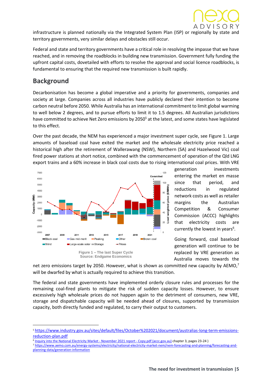

infrastructure is planned nationally via the Integrated System Plan (ISP) or regionally by state and territory governments, very similar delays and obstacles still occur.

Federal and state and territory governments have a critical role in resolving the impasse that we have reached, and in removing the roadblocks in building new transmission. Government fully funding the upfront capital costs, dovetailed with efforts to resolve the approval and social licence roadblocks, is fundamental to ensuring that the required new transmission is built rapidly.

### **Background**

Decarbonisation has become a global imperative and a priority for governments, companies and society at large. Companies across all industries have publicly declared their intention to become carbon neutral before 2050. While Australia has an international commitment to limit global warming to well below 2 degrees, and to pursue efforts to limit it to 1.5 degrees. All Australian jurisdictions have committed to achieve Net Zero emissions by 2050<sup>5</sup> at the latest, and some states have legislated to this effect.

Over the past decade, the NEM has experienced a major investment super cycle, see Figure 1. Large amounts of baseload coal have exited the market and the wholesale electricity price reached a historical high after the retirement of Wallerawang (NSW), Northern (SA) and Hazelwood Vic) coal fired power stations at short notice, combined with the commencement of operation of the Qld LNG export trains and a 60% increase in black coal costs due to rising international coal prices. With VRE



generation investments entering the market en masse since that period, and reductions in regulated network costs as well as retailer margins the Australian Competition & Consumer Commission (ACCC) highlights that electricity costs are currently the lowest in years<sup>6</sup>.

Going forward, coal baseload generation will continue to be replaced by VRE generation as Australia moves towards the

net zero emissions target by 2050. However, what is shown as committed new capacity by AEMO,<sup>7</sup> will be dwarfed by what is actually required to achieve this transition.

The federal and state governments have implemented orderly closure rules and processes for the remaining coal-fired plants to mitigate the risk of sudden capacity losses. However, to ensure excessively high wholesale prices do not happen again to the detriment of consumers, new VRE, storage and dispatchable capacity will be needed ahead of closures, supported by transmission capacity, both directly funded and regulated, to carry their output to customers.

<sup>7</sup> [https://www.aemo.com.au/energy-systems/electricity/national-electricity-market-nem/nem-forecasting-and-planning/forecasting-and](https://www.aemo.com.au/energy-systems/electricity/national-electricity-market-nem/nem-forecasting-and-planning/forecasting-and-planning-data/generation-information)[planning-data/generation-information](https://www.aemo.com.au/energy-systems/electricity/national-electricity-market-nem/nem-forecasting-and-planning/forecasting-and-planning-data/generation-information)

<sup>5</sup> [https://www.industry.gov.au/sites/default/files/October%202021/document/australias-long-term-emissions](https://www.industry.gov.au/sites/default/files/October%202021/document/australias-long-term-emissions-reduction-plan.pdf)[reduction-plan.pdf](https://www.industry.gov.au/sites/default/files/October%202021/document/australias-long-term-emissions-reduction-plan.pdf)

<sup>&</sup>lt;sup>6</sup> [Inquiry into the National Electricity Market -](https://www.accc.gov.au/system/files/Inquiry%20into%20the%20National%20Electricity%20Market%20-%20November%202021%20report%20-%20Copy.pdf) November 2021 report - Copy.pdf (accc.gov.au) chapter 3, pages 23-24 )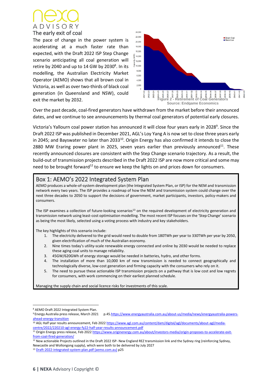

The pace of change in the power system is accelerating at a much faster rate than expected, with the Draft 2022 ISP Step Change scenario anticipating all coal generation will retire by 2040 and up to 14 GW by 2030<sup>8</sup>. In its modelling, the Australian Electricity Market Operator (AEMO) shows that all brown coal in Victoria, as well as over two-thirds of black coal generation (in Queensland and NSW), could exit the market by 2032.



Over the past decade, coal-fired generators have withdrawn from the market before their announced dates, and we continue to see announcements by thermal coal generators of potential early closures.

Victoria's Yallourn coal power station has announced it will close four years early in 2028<sup>9</sup>. Since the Draft 2022 ISP was published in December 2021, AGL's Loy Yang A is now set to close three years early in 2045; and Bayswater no later than 2033<sup>10</sup>. Origin Energy has also confirmed it intends to close the 2880 MW Eraring power plant in 2025, seven years earlier than previously announced $11$ . These recently announced closures are consistent with the Step Change scenario trajectory. As a result, the build-out of transmission projects described in the Draft 2022 ISP are now more critical and some may need to be brought forward<sup>12</sup> to ensure we keep the lights on and prices down for consumers.

#### Box 1: AEMO's 2022 Integrated System Plan

AEMO produces a whole-of-system development plan (the Integrated System Plan, or ISP) for the NEM and transmission network every two years. The ISP provides a roadmap of how the NEM and transmission system could change over the next three decades to 2050 to support the decisions of government, market participants, investors, policy-makers and consumers.

The ISP examines a collection of future-looking scenarios<sup>13</sup> on the required development of electricity generation and transmission network using least-cost optimisation modelling. The most recent ISP focuses on the 'Step Change' scenario as being the most likely, selected using a voting process with industry and key stakeholders.

The key highlights of this scenario include:

- 1. The electricity delivered to the grid would need to double from 180TWh per year to 330TWh per year by 2050, given electrification of much of the Australian economy.
- 2. Nine times today's utility-scale renewable energy connected and online by 2030 would be needed to replace these aging coal units to manage reliability.
- 3. 45GW/620GWh of energy storage would be needed in batteries, hydro, and other forms.
- 4. The installation of more than 10,000 km of new transmission is needed to connect geographically and technologically diverse, low-cost generation and firming capacity with the consumers who rely on it.
- 5. The need to pursue these actionable ISP transmission projects on a pathway that is low cost and low regrets for consumers, with work commencing on their earliest planned schedule.

Managing the supply chain and social licence risks for investments of this scale.

<sup>8</sup> AEMO Draft 2022 Integrated System Plan.

<sup>9</sup> Energy Australia press release, March 2021 p.4[5.https://www.energyaustralia.com.au/about-us/media/news/energyaustralia-powers](https://www.energyaustralia.com.au/about-us/media/news/energyaustralia-powers-ahead-energy-transition)[ahead-energy-transition](https://www.energyaustralia.com.au/about-us/media/news/energyaustralia-powers-ahead-energy-transition)

<sup>&</sup>lt;sup>10</sup> AGL Half year results announcement, Feb 202[2 https://www.agl.com.au/content/dam/digital/agl/documents/about-agl/media](https://www.agl.com.au/content/dam/digital/agl/documents/about-agl/media-centre/2022/220210-agl-energy-fy22-half-year-results-announcement.pdf)[centre/2022/220210-agl-energy-fy22-half-year-results-announcement.pdf](https://www.agl.com.au/content/dam/digital/agl/documents/about-agl/media-centre/2022/220210-agl-energy-fy22-half-year-results-announcement.pdf)

<sup>11</sup> Origin Energy press release, Feb 202[2 https://www.originenergy.com.au/about/investors-media/origin-proposes-to-accelerate-exit](https://www.originenergy.com.au/about/investors-media/origin-proposes-to-accelerate-exit-from-coal-fired-generation/)[from-coal-fired-generation/](https://www.originenergy.com.au/about/investors-media/origin-proposes-to-accelerate-exit-from-coal-fired-generation/)

<sup>&</sup>lt;sup>12</sup> New actionable Projects outlined in the Draft 2022 ISP- New England REZ transmission link and the Sydney ring (reinforcing Sydney, Newcastle and Wollongong supply), which were both to be delivered by July 2027

<sup>13</sup> [Draft-2022-integrated-system-plan.pdf \(aemo.com.au\)](https://aemo.com.au/-/media/files/major-publications/isp/2022/draft-2022-integrated-system-plan.pdf?la=en) p25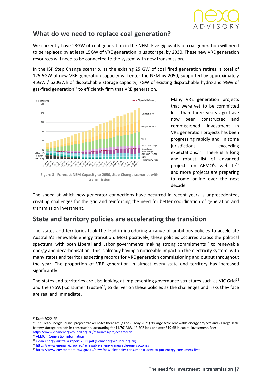

## **What do we need to replace coal generation?**

We currently have 23GW of coal generation in the NEM. Five gigawatts of coal generation will need to be replaced by at least 15GW of VRE generation, plus storage, by 2030. These new VRE generation resources will need to be connected to the system with new transmission.

In the ISP Step Change scenario, as the existing 25 GW of coal fired generation retires, a total of 125.5GW of new VRE generation capacity will enter the NEM by 2050, supported by approximately 45GW / 620GWh of dispatchable storage capacity, 7GW of existing dispatchable hydro and 9GW of gas-fired generation<sup>14</sup> to efficiently firm that VRE generation.



Many VRE generation projects that were yet to be committed less than three years ago have now been constructed and commissioned. Investment in VRE generation projects has been progressing rapidly and, in some jurisdictions, exceeding expectations.*<sup>15</sup>* There is a long and robust list of advanced projects on AEMO's website*<sup>16</sup>* and more projects are preparing to come online over the next decade.

The speed at which new generator connections have occurred in recent years is unprecedented, creating challenges for the grid and reinforcing the need for better coordination of generation and transmission investment.

## **State and territory policies are accelerating the transition**

The states and territories took the lead in introducing a range of ambitious policies to accelerate Australia's renewable energy transition. Most positively, these policies occurred across the political spectrum, with both Liberal and Labor governments making strong commitments<sup>17</sup> to renewable energy and decarbonisation. This is already having a noticeable impact on the electricity system, with many states and territories setting records for VRE generation commissioning and output throughout the year. The proportion of VRE generation in almost every state and territory has increased significantly.

The states and territories are also looking at implementing governance structures such as VIC Grid<sup>18</sup> and the (NSW) Consumer Trustee<sup>19</sup>, to deliver on these policies as the challenges and risks they face are real and immediate.

<sup>14</sup> Draft 2022 ISP

<sup>&</sup>lt;sup>15</sup> The Clean Energy Council project tracker notes there are (as of 25 May 2021) 98 large scale renewable energy projects and 21 large scale battery storage projects in construction, accounting for 11,761MW, 13,502 jobs and over \$19.6B in capital investment. See: <https://www.cleanenergycouncil.org.au/resources/project-tracker>

<sup>16</sup> [AEMO | Generation information](https://www.aemo.com.au/energy-systems/electricity/national-electricity-market-nem/nem-forecasting-and-planning/forecasting-and-planning-data/generation-information)

<sup>17</sup> [clean-energy-australia-report-2021.pdf \(cleanenergycouncil.org.au\)](https://assets.cleanenergycouncil.org.au/documents/resources/reports/clean-energy-australia/clean-energy-australia-report-2021.pdf)

<sup>18</sup> <https://www.energy.vic.gov.au/renewable-energy/renewable-energy-zones>

<sup>19</sup> <https://www.environment.nsw.gov.au/news/new-electricity-consumer-trustee-to-put-energy-consumers-first>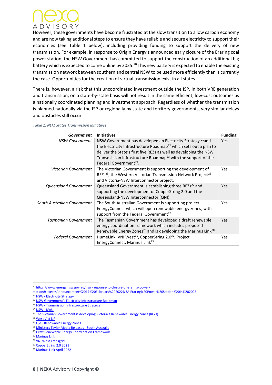

However, these governments have become frustrated at the slow transition to a low carbon economy and are now taking additional steps to ensure they have reliable and secure electricity to support their economies (see Table 1 below), including providing funding to support the delivery of new transmission. For example, in response to Origin Energy's announced early closure of the Eraring coal power station, the NSW Government has committed to support the construction of an additional big battery which is expected to come online by 2025.<sup>20</sup> This new battery is expected to enable the existing transmission network between southern and central NSW to be used more efficiently than is currently the case. Opportunities for the creation of virtual transmission exist in all states.

There is, however, a risk that this uncoordinated investment outside the ISP, in both VRE generation and transmission, on a state-by-state basis will not result in the same efficient, low-cost outcomes as a nationally coordinated planning and investment approach. Regardless of whether the transmission is planned nationally via the ISP or regionally by state and territory governments, very similar delays and obstacles still occur.

| <b>Table 1: NEM States Transmission Initiatives</b> |  |
|-----------------------------------------------------|--|
|-----------------------------------------------------|--|

| Government                   | <b>Initiatives</b>                                                                                                                                                                                                                                                                                                                              | <b>Funding</b> |
|------------------------------|-------------------------------------------------------------------------------------------------------------------------------------------------------------------------------------------------------------------------------------------------------------------------------------------------------------------------------------------------|----------------|
| <b>NSW Government</b>        | NSW Government has developed an Electricity Strategy <sup>21</sup> and<br>the Electricity Infrastructure Roadmap <sup>22</sup> which sets out a plan to<br>deliver the State's first five REZs as well as developing the NSW<br>Transmission Infrastructure Roadmap <sup>23</sup> with the support of the<br>Federal Government <sup>24</sup> . | <b>Yes</b>     |
| Victorian Government         | The Victorian Government is supporting the development of<br>REZs <sup>25</sup> , the Western Victorian Transmission Network Project <sup>26</sup><br>and Victoria-NSW Interconnector project.                                                                                                                                                  | Yes            |
| <b>Queensland Government</b> | Queensland Government is establishing three REZs <sup>27</sup> and<br>supporting the development of CopperString 2.0 and the<br>Queensland-NSW Interconnector (QNI)                                                                                                                                                                             | <b>Yes</b>     |
| South Australian Government  | The South Australian Government is supporting project<br>EnergyConnect which will open renewable energy zones, with<br>support from the Federal Government <sup>28</sup>                                                                                                                                                                        | <b>Yes</b>     |
| <b>Tasmanian Government</b>  | The Tasmanian Government has developed a draft renewable<br>energy coordination framework which includes proposed<br>Renewable Energy Zones <sup>29</sup> and is developing the Marinus Link <sup>30</sup>                                                                                                                                      | <b>Yes</b>     |
| <b>Federal Government</b>    | HumeLink, VNI West <sup>31</sup> , CopperString 2.0 <sup>32</sup> , Project<br>EnergyConnect, Marinus Link <sup>33</sup>                                                                                                                                                                                                                        | <b>Yes</b>     |

<sup>20</sup> [https://www.energy.nsw.gov.au/nsw-response-to-closure-of-eraring-power-](https://www.energy.nsw.gov.au/nsw-response-to-closure-of-eraring-power-station#:~:text=Announcement%2017%20February%202022%3A,Eraring%20Power%20Station%20in%202025)

[station#:~:text=Announcement%2017%20February%202022%3A,Eraring%20Power%20Station%20in%202025.](https://www.energy.nsw.gov.au/nsw-response-to-closure-of-eraring-power-station#:~:text=Announcement%2017%20February%202022%3A,Eraring%20Power%20Station%20in%202025)

<sup>21</sup> NSW - [Electricity Strategy](https://www.energy.nsw.gov.au/government-and-regulation/electricity-strategy)

<sup>22</sup> [NSW Government's Electricity Infrastructure Roadmap](https://www.energy.nsw.gov.au/government-and-regulation/electricity-infrastructure-roadmap#:~:text=The%20NSW%20Government)

<sup>23</sup> NSW - [Transmission Infrastructure Strategy](https://www.energy.nsw.gov.au/renewables/clean-energy-initiatives/transmission-infrastructure-strategy)

<sup>24</sup> [NSW -](https://www.energy.nsw.gov.au/government-and-regulation/electricity-strategy/memorandum-understanding) MoU

<sup>25</sup> [The Victorian Government is developing Vi](https://www.energy.vic.gov.au/renewable-energy/renewable-energy-zones)ctoria's Renewable Energy Zones (REZs)

<sup>26</sup> [West Vict NP](https://www.westvictnp.com.au/)

<sup>27</sup> Qld - [Renewable Energy Zones](https://www.epw.qld.gov.au/about/initiatives/renewable-energy-zones)

<sup>28</sup> [Ministers Taylor Media Releases -](https://www.minister.industry.gov.au/ministers/taylor/media-releases/energy-and-emissions-reduction-agreement-south-australia) South Australia

<sup>&</sup>lt;sup>29</sup> [Draft Renewable Energy Coordination Framework](https://renewablestasmania.tas.gov.au/__data/assets/pdf_file/0009/279531/Draft_Renewable_Energy_Coordination_Framework.pdf)

<sup>30</sup> [Marinus Link](https://www.marinuslink.com.au/)

<sup>31</sup> [VNI West Transgrid](https://www.transgrid.com.au/media-publications/news-articles/federal-funding-of-75-million-to-secure-supply-and-assess-energy-sharing-options-between-nsw-and-victoria)

<sup>32</sup> [CopperString 2.0 2021](https://reneweconomy.com.au/morrison-government-confirms-11m-injection-to-fast-track-copperstring-2-0/)

<sup>33</sup> [Marinus Link April 2022](https://www.premier.tas.gov.au/site_resources_2015/additional_releases/tasmanias_historic_agreement_to_deliver_marinus_link_and_battery_of_the_nation)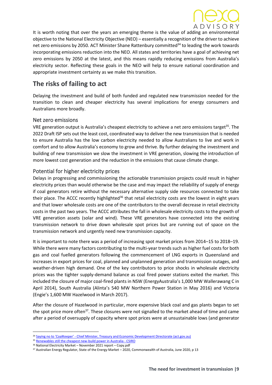

It is worth noting that over the years an emerging theme is the value of adding an environmental objective to the National Electricity Objective (NEO) – essentially a recognition of the driver to achieve net zero emissions by 2050. ACT Minister Shane Rattenbury committed<sup>34</sup> to leading the work towards incorporating emissions reduction into the NEO. All states and territories have a goal of achieving net zero emissions by 2050 at the latest, and this means rapidly reducing emissions from Australia's electricity sector. Reflecting these goals in the NEO will help to ensure national coordination and appropriate investment certainty as we make this transition.

# **The risks of failing to act**

Delaying the investment and build of both funded and regulated new transmission needed for the transition to clean and cheaper electricity has several implications for energy consumers and Australians more broadly.

#### Net zero emissions

VRE generation output is Australia's cheapest electricity to achieve a net zero emissions target<sup>35</sup>. The 2022 Draft ISP sets out the least cost, coordinated way to deliver the new transmission that is needed to ensure Australia has the low carbon electricity needed to allow Australians to live and work in comfort and to allow Australia's economy to grow and thrive. By further delaying the investment and building of new transmission we slow the investment in VRE generation, slowing the introduction of more lowest cost generation and the reduction in the emissions that cause climate change.

#### Potential for higher electricity prices

Delays in progressing and commissioning the actionable transmission projects could result in higher electricity prices than would otherwise be the case and may impact the reliability of supply of energy if coal generators retire without the necessary alternative supply side resources connected to take [t](https://www.accc.gov.au/system/files/Inquiry%20into%20the%20National%20Electricity%20Market%20-%20November%202021%20report%20-%20Copy.pdf)heir place. The ACCC recently highlighted<sup>36</sup> that retail electricity costs are the lowest in eight years and that lower wholesale costs are one of the contributors to the overall decrease in retail electricity costs in the past two years. The ACCC attributes the fall in wholesale electricity costs to the growth of VRE generation assets (solar and wind). These VRE generators have connected into the existing transmission network to drive down wholesale spot prices but are running out of space on the transmission network and urgently need new transmission capacity.

It is important to note there was a period of increasing spot market prices from 2014–15 to 2018–19. While there were many factors contributing to the multi-year trends such as higher fuel costs for both gas and coal fuelled generators following the commencement of LNG exports in Queensland and increases in export prices for coal, planned and unplanned generation and transmission outages, and weather-driven high demand. One of the key contributors to price shocks in wholesale electricity prices was the tighter supply-demand balance as coal fired power stations exited the market. This included the closure of major coal-fired plants in NSW (EnergyAustralia's 1,000 MW Wallerawang C in April 2014), South Australia (Alinta's 540 MW Northern Power Station in May 2016) and Victoria (Engie's 1,600 MW Hazelwood in March 2017).

After the closure of Hazelwood in particular, more expensive black coal and gas plants began to set the spot price more often<sup>37</sup>. These closures were not signalled to the market ahead of time and came after a period of oversupply of capacity where spot prices were at unsustainable lows (and generator

<sup>34</sup> Saying no to 'CoalKeeper' - [Chief Minister, Treasury and Economic Development Directorate \(act.gov.au\)](https://www.cmtedd.act.gov.au/open_government/inform/act_government_media_releases/rattenbury/2021/saying-no-to-coalkeeper)

<sup>35</sup> [Renewables still the cheapest new-build power in Australia -](https://www.csiro.au/en/news/news-releases/2020/renewables-still-the-cheapest-new-build-power-in-australia) CSIRO

<sup>36</sup> National Electricity Market – November 2021 report – Copy.pdf

<sup>&</sup>lt;sup>37</sup> Australian Energy Regulator, State of the Energy Market – 2020, Commonwealth of Australia, June 2020, p 13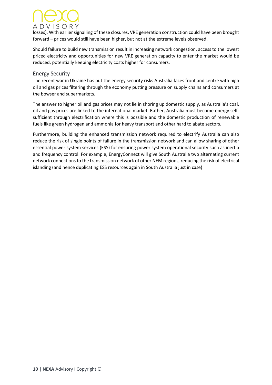# A D V I S O R Y

losses). With earlier signalling of these closures, VRE generation construction could have been brought forward – prices would still have been higher, but not at the extreme levels observed.

Should failure to build new transmission result in increasing network congestion, access to the lowest priced electricity and opportunities for new VRE generation capacity to enter the market would be reduced, potentially keeping electricity costs higher for consumers.

#### Energy Security

The recent war in Ukraine has put the energy security risks Australia faces front and centre with high oil and gas prices filtering through the economy putting pressure on supply chains and consumers at the bowser and supermarkets.

The answer to higher oil and gas prices may not lie in shoring up domestic supply, as Australia's coal, oil and gas prices are linked to the international market. Rather, Australia must become energy selfsufficient through electrification where this is possible and the domestic production of renewable fuels like green hydrogen and ammonia for heavy transport and other hard to abate sectors.

Furthermore, building the enhanced transmission network required to electrify Australia can also reduce the risk of single points of failure in the transmission network and can allow sharing of other essential power system services (ESS) for ensuring power system operational security such as inertia and frequency control. For example, EnergyConnect will give South Australia two alternating current network connections to the transmission network of other NEM regions, reducing the risk of electrical islanding (and hence duplicating ESS resources again in South Australia just in case)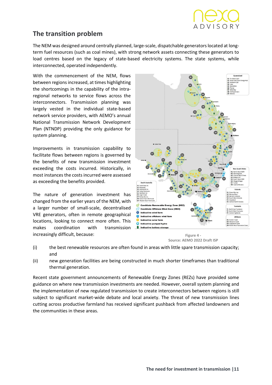

## **The transition problem**

The NEM was designed around centrally planned, large-scale, dispatchable generators located at longterm fuel resources (such as coal mines), with strong network assets connecting these generators to load centres based on the legacy of state-based electricity systems. The state systems, while interconnected, operated independently.

With the commencement of the NEM, flows between regions increased, at times highlighting the shortcomings in the capability of the intraregional networks to service flows across the interconnectors. Transmission planning was largely vested in the individual state-based network service providers, with AEMO's annual National Transmission Network Development Plan (NTNDP) providing the only guidance for system planning.

Improvements in transmission capability to facilitate flows between regions is governed by the benefits of new transmission investment exceeding the costs incurred. Historically, in most instances the costs incurred were assessed as exceeding the benefits provided.

The nature of generation investment has changed from the earlier years of the NEM, with a larger number of small-scale, decentralised VRE generators, often in remote geographical locations, looking to connect more often. This makes coordination with transmission increasingly difficult, because:



**Figure 4 - Source: AEMO 2022 Draft ISP**

- (i) the best renewable resources are often found in areas with little spare transmission capacity; and
- (ii) new generation facilities are being constructed in much shorter timeframes than traditional thermal generation.

Recent state government announcements of Renewable Energy Zones (REZs) have provided some guidance on where new transmission investments are needed. However, overall system planning and the implementation of new regulated transmission to create interconnectors between regions is still subject to significant market-wide debate and local anxiety. The threat of new transmission lines cutting across productive farmland has received significant pushback from affected landowners and the communities in these areas.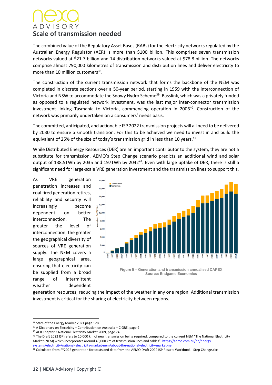# **ADVISORY Scale of transmission needed**

The combined value of the Regulatory Asset Bases (RABs) for the electricity networks regulated by the Australian Energy Regulator (AER) is more than \$100 billion. This comprises seven transmission networks valued at \$21.7 billion and 14 distribution networks valued at \$78.8 billion. The networks comprise almost 790,000 kilometres of transmission and distribution lines and deliver electricity to more than 10 million customers<sup>38</sup>.

The construction of the current transmission network that forms the backbone of the NEM was completed in discrete sections over a 50-year period, starting in 1959 with the interconnection of Victoria and NSW to accommodate the Snowy Hydro Scheme<sup>39</sup>. Basslink, which was a privately funded as opposed to a regulated network investment, was the last major inter-connector transmission investment linking Tasmania to Victoria, commencing operation in 2006 40 . Construction of the network was primarily undertaken on a consumers' needs basis.

The committed, anticipated, and actionable ISP 2022 transmission projects will all need to be delivered by 2030 to ensure a smooth transition. For this to be achieved we need to invest in and build the equivalent of 25% of the size of today's transmission grid in less than 10 years. $41$ 

While Distributed Energy Resources (DER) are an important contributor to the system, they are not a substitute for transmission. AEMO's Step Change scenario predicts an additional wind and solar output of 138.5TWh by 2035 and 197TWh by 2042<sup>42</sup>. Even with large uptake of DER, there is still a significant need for large-scale VRE generation investment and the transmission lines to support this.

As VRE generation penetration increases and coal fired generation retires, reliability and security will increasingly become dependent on better interconnection. The greater the level of interconnection, the greater the geographical diversity of sources of VRE generation supply. The NEM covers a large geographical area, ensuring that electricity can be supplied from a broad range of intermittent weather dependent



**Figure 5 – Generation and transmission annualised CAPEX Source: Endgame Economics**

generation resources, reducing the impact of the weather in any one region. Additional transmission investment is critical for the sharing of electricity between regions.

<sup>38</sup> State of the Energy Market 2021 page 128

 $39$  A Dictionary on Electricity – Contribution on Australia – CIGRE, page 9

<sup>40</sup> AER Chapter 2 National Electricity Market 2009, page 74

<sup>&</sup>lt;sup>41</sup> The Draft 2022 ISP refers to 10,000 km of new transmission being required, compared to the current NEM "The National Electricity Market (NEM) which incorporates around 40,000 km of transmission lines and cables" [https://aemo.com.au/en/energy-](https://aemo.com.au/en/energy-systems/electricity/national-electricity-market-nem/about-the-national-electricity-market-nem)

[systems/electricity/national-electricity-market-nem/about-the-national-electricity-market-nem](https://aemo.com.au/en/energy-systems/electricity/national-electricity-market-nem/about-the-national-electricity-market-nem)

<sup>42</sup> Calculated from FY2022 generation forecasts and data from the AEMO Draft 2022 ISP Results Workbook - Step Change.xlxs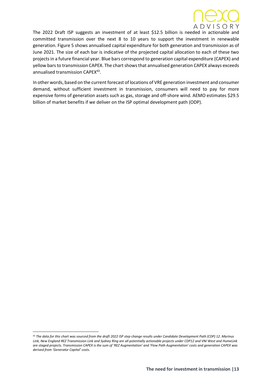

The 2022 Draft ISP suggests an investment of at least \$12.5 billion is needed in actionable and committed transmission over the next 8 to 10 years to support the investment in renewable generation. Figure 5 shows annualised capital expenditure for both generation and transmission as of June 2021. The size of each bar is indicative of the projected capital allocation to each of these two projects in a future financial year. Blue bars correspond to generation capital expenditure (CAPEX) and yellow bars to transmission CAPEX. The chart shows that annualised generation CAPEX always exceeds annualised transmission CAPEX<sup>43</sup>.

In other words, based on the current forecast of locations of VRE generation investment and consumer demand, without sufficient investment in transmission, consumers will need to pay for more expensive forms of generation assets such as gas, storage and off-shore wind. AEMO estimates \$29.5 billion of market benefits if we deliver on the ISP optimal development path (ODP).

<sup>43</sup> *The data for this chart was sourced from the draft 2022 ISP step change results under Candidate Development Path (CDP) 12. Marinus Link, New England REZ Transmission Link and Sydney Ring are all potentially actionable projects under CDP12 and VNI West and HumeLink are staged projects. Transmission CAPEX is the sum of 'REZ Augmentation' and 'Flow Path Augmentation' costs and generation CAPEX was derived from 'Generator Capital' costs.*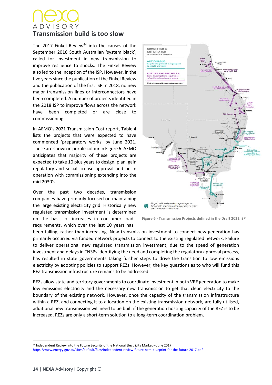# ADVISORY **Transmission build is too slow**

The 2017 Finkel Review $44$  into the causes of the September 2016 South Australian 'system black', called for investment in new transmission to improve resilience to shocks. The Finkel Review also led to the inception of the ISP. However, in the five years since the publication of the Finkel Review and the publication of the first ISP in 2018, no new major transmission lines or interconnectors have been completed. A number of projects identified in the 2018 ISP to improve flows across the network have been completed or are close to commissioning.

In AEMO's 2021 Transmission Cost report, Table 4 lists the projects that were expected to have commenced 'preparatory works' by June 2021. These are shown in purple colour in Figure 6. AEMO anticipates that majority of these projects are expected to take 10 plus years to design, plan, gain regulatory and social license approval and be in operation with commissioning extending into the mid 2030's.

Over the past two decades, transmission companies have primarily focused on maintaining the large existing electricity grid. Historically new regulated transmission investment is determined on the basis of increases in consumer load requirements, which over the last 10 years has



**Figure 6 - Transmission Projects defined in the Draft 2022 ISP**

been falling, rather than increasing. New transmission investment to connect new generation has primarily occurred via funded network projects to connect to the existing regulated network. Failure to deliver operational new regulated transmission investment, due to the speed of generation investment and delays in TNSPs identifying the need and completing the regulatory approval process, has resulted in state governments taking further steps to drive the transition to low emissions electricity by adopting policies to support REZs. However, the key questions as to who will fund this REZ transmission infrastructure remains to be addressed.

REZs allow state and territory governments to coordinate investment in both VRE generation to make low emissions electricity and the necessary new transmission to get that clean electricity to the boundary of the existing network. However, once the capacity of the transmission infrastructure within a REZ, and connecting it to a location on the existing transmission network, are fully utilised, additional new transmission will need to be built if the generation hosting capacity of the REZ is to be increased. REZs are only a short-term solution to a long-term coordination problem.

<sup>44</sup> Independent Review into the Future Security of the National Electricity Market – June 2017 <https://www.energy.gov.au/sites/default/files/independent-review-future-nem-blueprint-for-the-future-2017.pdf>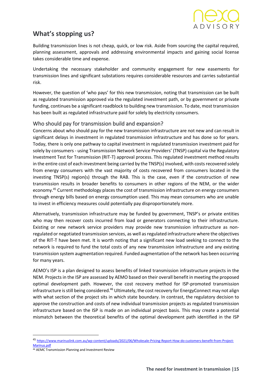# **What's stopping us?**

Building transmission lines is not cheap, quick, or low risk. Aside from sourcing the capital required, planning assessment, approvals and addressing environmental impacts and gaining social license takes considerable time and expense.

Undertaking the necessary stakeholder and community engagement for new easements for transmission lines and significant substations requires considerable resources and carries substantial risk.

However, the question of 'who pays' for this new transmission, noting that transmission can be built as regulated transmission approved via the regulated investment path, or by government or private funding, continues be a significant roadblock to building new transmission. To date, most transmission has been built as regulated infrastructure paid for solely by electricity consumers.

#### Who should pay for transmission build and expansion?

Concerns about who should pay for the new transmission infrastructure are not new and can result in significant delays in investment in regulated transmission infrastructure and has done so for years. Today, there is only one pathway to capital investment in regulated transmission investment paid for solely by consumers - using Transmission Network Service Providers' (TNSP) capital via the Regulatory Investment Test for Transmission (RIT-T) approval process. This regulated investment method results in the entire cost of each investment being carried by the TNSP(s) involved, with costs recovered solely from energy consumers with the vast majority of costs recovered from consumers located in the investing TNSP(s) region(s) through the RAB. This is the case, even if the construction of new transmission results in broader benefits to consumers in other regions of the NEM, or the wider economy. <sup>45</sup> Current methodology places the cost of transmission infrastructure on energy consumers through energy bills based on energy consumption used. This may mean consumers who are unable to invest in efficiency measures could potentially pay disproportionately more.

Alternatively, transmission infrastructure may be funded by government, TNSP's or private entities who may then recover costs incurred from load or generators connecting to their infrastructure. Existing or new network service providers may provide new transmission infrastructure as nonregulated or negotiated transmission services, as well as regulated infrastructure where the objectives of the RIT-T have been met. It is worth noting that a significant new load seeking to connect to the network is required to fund the total costs of any new transmission infrastructure and any existing transmission system augmentation required. Funded augmentation of the network has been occurring for many years.

AEMO's ISP is a plan designed to assess benefits of linked transmission infrastructure projects in the NEM. Projects in the ISP are assessed by AEMO based on their overall benefit in meeting the proposed optimal development path. However, the cost recovery method for ISP-promoted transmission infrastructure is still being considered.<sup>46</sup> Ultimately, the cost recovery for EnergyConnect may not align with what section of the project sits in which state boundary. In contrast, the regulatory decision to approve the construction and costs of new individual transmission projects as regulated transmission infrastructure based on the ISP is made on an individual project basis. This may create a potential mismatch between the theoretical benefits of the optimal development path identified in the ISP

<sup>45</sup> [https://www.marinuslink.com.au/wp-content/uploads/2021/06/Wholesale-Pricing-Report-How-do-customers-benefit-from-Project-](https://www.marinuslink.com.au/wp-content/uploads/2021/06/Wholesale-Pricing-Report-How-do-customers-benefit-from-Project-Marinus.pdf)[Marinus.pdf](https://www.marinuslink.com.au/wp-content/uploads/2021/06/Wholesale-Pricing-Report-How-do-customers-benefit-from-Project-Marinus.pdf)

<sup>46</sup> AEMC Transmission Planning and Investment Review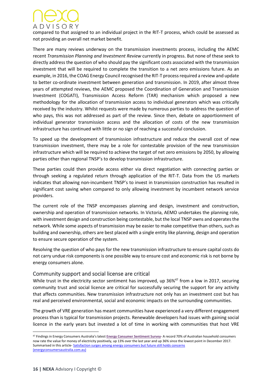

compared to that assigned to an individual project in the RIT-T process, which could be assessed as not providing an overall net market benefit.

There are many reviews underway on the transmission investments process, including the AEMC recent *Transmission Planning and Investment Review* currently in progress. But none of these seek to directly address the question of who should pay the significant costs associated with the transmission investment that will be required to complete the transition to a net zero emissions future. As an example, in 2016, the COAG Energy Council recognised the RIT-T process required a review and update to better co-ordinate investment between generation and transmission. In 2019, after almost three years of attempted reviews, the AEMC proposed the Coordination of Generation and Transmission Investment (COGATI), Transmission Access Reform (TAR) mechanism which proposed a new methodology for the allocation of transmission access to individual generators which was critically received by the industry. Whilst requests were made by numerous parties to address the question of who pays, this was not addressed as part of the review. Since then, debate on apportionment of individual generator transmission access and the allocation of costs of the new transmission infrastructure has continued with little or no sign of reaching a successful conclusion.

To speed up the development of transmission infrastructure and reduce the overall cost of new transmission investment, there may be a role for contestable provision of the new transmission infrastructure which will be required to achieve the target of net zero emissions by 2050, by allowing parties other than regional TNSP's to develop transmission infrastructure.

These parties could then provide access either via direct negotiation with connecting parties or through seeking a regulated return through application of the RIT-T. Data from the US markets indicates that allowing non-incumbent TNSP's to invest in transmission construction has resulted in significant cost saving when compared to only allowing investment by incumbent network service providers.

The current role of the TNSP encompasses planning and design, investment and construction, ownership and operation of transmission networks. In Victoria, AEMO undertakes the planning role, with investment design and construction being contestable, but the local TNSP owns and operates the network. While some aspects of transmission may be easier to make competitive than others, such as building and ownership, others are best placed with a single entity like planning, design and operation to ensure secure operation of the system.

Resolving the question of who pays for the new transmission infrastructure to ensure capital costs do not carry undue risk components is one possible way to ensure cost and economic risk is not borne by energy consumers alone.

#### Community support and social license are critical

While trust in the electricity sector sentiment has improved, up  $36\%^{47}$  from a low in 2017, securing community trust and social licence are critical for successfully securing the support for any activity that affects communities. New transmission infrastructure not only has an investment cost but has real and perceived environmental, social and economic impacts on the surrounding communities.

The growth of VRE generation has meant communities have experienced a very different engagement process than is typical for transmission projects. Renewable developers had issues with gaining social licence in the early years but invested a lot of time in working with communities that host VRE

<sup>47</sup> Findings in Energy Consumers Australia's latest **Energy Consumer [Sentiment](https://ecss.energyconsumersaustralia.com.au/home/) Survey**- A record 70% of Australian household consumers now rate the value for money of electricity positively, up 13% over the last year and up 36% since the lowest point in December 2017. Summarised in this article- [Satisfaction surges among energy consumers but future still holds concerns](https://energyconsumersaustralia.com.au/news/satisfaction-surges-among-energy-consumers-but-future-still-holds-concerns)  [\(energyconsumersaustralia.com.au\)](https://energyconsumersaustralia.com.au/news/satisfaction-surges-among-energy-consumers-but-future-still-holds-concerns)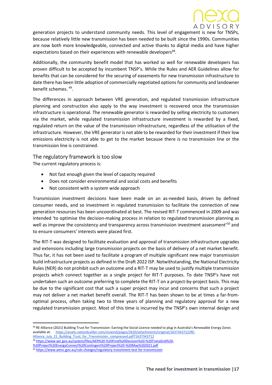

generation projects to understand community needs. This level of engagement is new for TNSPs, because relatively little new transmission has been needed to be built since the 1990s. Communities are now both more knowledgeable, connected and active thanks to digital media and have higher expectations based on their experiences with renewable developers<sup>48</sup>.

Additionally, the community benefit model that has worked so well for renewable developers has proven difficult to be accepted by incumbent TNSP's. While the Rules and AER Guidelines allow for benefits that can be considered for the securing of easements for new transmission infrastructure to date there has been little adoption of commercially negotiated options for community and landowner benefit schemes. <sup>49</sup> .

The differences in approach between VRE generation, and regulated transmission infrastructure planning and construction also apply to the way investment is recovered once the transmission infrastructure is operational. The renewable generator is rewarded by selling electricity to customers via the market, while regulated transmission infrastructure investment is rewarded by a fixed, regulated return on the value of the transmission infrastructure, regardless of the utilisation of the infrastructure. However, the VRE generator is not able to be rewarded for their investment if their low emissions electricity is not able to get to the market because there is no transmission line or the transmission line is constrained.

#### The regulatory framework is too slow

The current regulatory process is:

- Not fast enough given the level of capacity required
- Does not consider environmental and social costs and benefits
- Not consistent with a system wide approach

Transmission investment decisions have been made on an as-needed basis, driven by defined consumer needs, and so investment in regulated transmission to facilitate the connection of new generation resources has been uncoordinated at best. The revised RIT-T commenced in 2009 and was intended 'to optimise the decision-making process in relation to regulated transmission planning as well as improve the consistency and transparency across transmission investment assessment' *<sup>50</sup>* and to ensure consumers' interests were placed first.

The RIT-T was designed to facilitate evaluation and approval of transmission infrastructure upgrades and extensions including large transmission projects on the basis of delivery of a net market benefit. Thus far, it has not been used to facilitate a program of multiple significant new major transmission build infrastructure projects as defined in the Draft 2022 ISP. Notwithstanding, the National Electricity Rules (NER) do not prohibit such an outcome and a RIT-T may be used to justify multiple transmission projects which connect together as a single project for RIT-T purposes. To date TNSP's have not undertaken such an outcome preferring to complete the RIT-T on a project-by-project basis. This may be due to the significant cost that such a super project may incur and concerns that such a project may not deliver a net market benefit overall. The RIT-T has been shown to be at times a far-fromoptimal process, often taking two to three years of planning and regulatory approval for a new regulated transmission project. Most of this time is incurred by the TNSP's own internal design and

- <sup>49</sup> [https://www.aer.gov.au/system/files/AER%20-%20Final%20Decision%20-%20TransGrid%20-](https://www.aer.gov.au/system/files/AER%20-%20Final%20Decision%20-%20TransGrid%20-%20Project%20EnergyConnect%20Contingent%20Project%20-%20May%202021.pdf)
- [%20Project%20EnergyConnect%20Contingent%20Project%20-%20May%202021.pdf](https://www.aer.gov.au/system/files/AER%20-%20Final%20Decision%20-%20TransGrid%20-%20Project%20EnergyConnect%20Contingent%20Project%20-%20May%202021.pdf)

<sup>48</sup> RE-Alliance (2021) Building Trust for Transmission: Earning the Social Licence needed to plug in Australia's Renewable Energy Zones available at: [https://assets.nationbuilder.com/vicwind/pages/2620/attachments/original/1637343712/RE-](https://assets.nationbuilder.com/vicwind/pages/2620/attachments/original/1637343712/RE-Alliance_July_21_Building_Trust_for_Transmission_compressed.pdf?1637343712)[Alliance\\_July\\_21\\_Building\\_Trust\\_for\\_Transmission\\_compressed.pdf?1637343712](https://assets.nationbuilder.com/vicwind/pages/2620/attachments/original/1637343712/RE-Alliance_July_21_Building_Trust_for_Transmission_compressed.pdf?1637343712)

<sup>50</sup> <https://www.aemc.gov.au/rule-changes/regulatory-investment-test-for-transmission>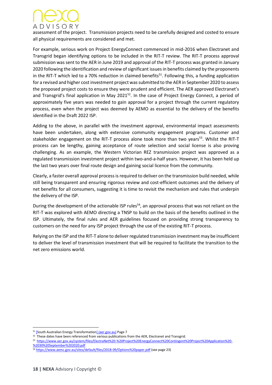

assessment of the project. Transmission projects need to be carefully designed and costed to ensure all physical requirements are considered and met.

For example, serious work on Project EnergyConnect commenced in mid-2016 when Electranet and Transgrid began identifying options to be included in the RIT-T review. The RIT-T process approval submission was sent to the AER in June 2019 and approval of the RIT-T process was granted in January 2020 following the identification and review of significant issues in benefits claimed by the proponents in the RIT-T which led to a 70% reduction in claimed benefits<sup>51</sup>. Following this, a funding application for a revised and higher cost investment project was submitted to the AER in September 2020 to assess the proposed project costs to ensure they were prudent and efficient. The AER approved Electranet's and Transgrid's final application in May 2021<sup>52</sup>. In the case of Project Energy Connect, a period of approximately five years was needed to gain approval for a project through the current regulatory process, even when the project was deemed by AEMO as essential to the delivery of the benefits identified in the Draft 2022 ISP.

Adding to the above, in parallel with the investment approval, environmental impact assessments have been undertaken, along with extensive community engagement programs. Customer and stakeholder engagement on the RIT-T process alone took more than two years<sup>53</sup>. Whilst the RIT-T process can be lengthy, gaining acceptance of route selection and social license is also proving challenging. As an example, the Western Victorian REZ transmission project was approved as a regulated transmission investment project within two-and-a-half years. However, it has been held up the last two years over final route design and gaining social licence from the community.

Clearly, a faster overall approval process is required to deliver on the transmission build needed, while still being transparent and ensuring rigorous review and cost-efficient outcomes and the delivery of net benefits for all consumers, suggesting it is time to revisit the mechanism and rules that underpin the delivery of the ISP.

During the development of the actionable ISP rules<sup>54</sup>, an approval process that was not reliant on the RIT-T was explored with AEMO directing a TNSP to build on the basis of the benefits outlined in the ISP. Ultimately, the final rules and AER guidelines focused on providing strong transparency to customers on the need for any ISP project through the use of the existing RIT-T process.

Relying on the ISP and the RIT-T alone to deliver regulated transmission investment may be insufficient to deliver the level of transmission investment that will be required to facilitate the transition to the net zero emissions world.

<sup>51</sup> [\[South Australian Energy Transformation\] \(aer.gov.au\)](https://www.aer.gov.au/system/files/AER%20-%20Determination%20-%20SAET%20RIT-T%20-%2024%20January%202020.pdf) Page 7

 $52$  These dates have been referenced from various publications from the AER, Electranet and Transgrid.

<sup>53</sup>  [https://www.aer.gov.au/system/files/ElectraNet%20-%20Project%20EnergyConnect%20Contingent%20Project%20Application%20-](https://www.aer.gov.au/system/files/ElectraNet%20-%20Project%20EnergyConnect%20Contingent%20Project%20Application%20-%2030%20September%202020.pdf) [%2030%20September%202020.pdf](https://www.aer.gov.au/system/files/ElectraNet%20-%20Project%20EnergyConnect%20Contingent%20Project%20Application%20-%2030%20September%202020.pdf)

<sup>54</sup> <https://www.aemc.gov.au/sites/default/files/2018-09/Options%20paper.pdf> (see page 23)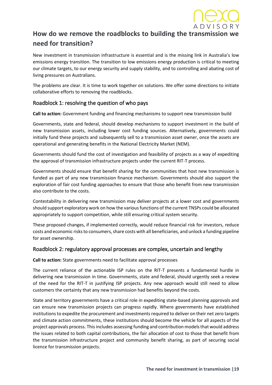

# **How do we remove the roadblocks to building the transmission we need for transition?**

New investment in transmission infrastructure is essential and is the missing link in Australia's low emissions energy transition. The transition to low emissions energy production is critical to meeting our climate targets, to our energy security and supply stability, and to controlling and abating cost of living pressures on Australians.

The problems are clear. It is time to work together on solutions. We offer some directions to initiate collaborative efforts to removing the roadblocks.

#### Roadblock 1: resolving the question of who pays

**Call to action:** Government funding and financing mechanisms to support new transmission build

Governments, state and federal, should develop mechanisms to support investment in the build of new transmission assets, including lower cost funding sources. Alternatively, governments could initially fund these projects and subsequently sell to a transmission asset owner, once the assets are operational and generating benefits in the National Electricity Market (NEM).

Governments should fund the cost of investigation and feasibility of projects as a way of expediting the approval of transmission infrastructure projects under the current RIT-T process.

Governments should ensure that benefit sharing for the communities that host new transmission is funded as part of any new transmission finance mechanism. Governments should also support the exploration of fair cost funding approaches to ensure that those who benefit from new transmission also contribute to the costs.

Contestability in delivering new transmission may deliver projects at a lower cost and governments should support exploratory work on how the various functions of the current TNSPs could be allocated appropriately to support competition, while still ensuring critical system security.

These proposed changes, if implemented correctly, would reduce financial risk for investors, reduce costs and economic risks to consumers, share costs with all beneficiaries, and unlock a funding pipeline for asset ownership.

#### Roadblock 2: regulatory approval processes are complex, uncertain and lengthy

**Call to action:** State governments need to facilitate approval processes

The current reliance of the actionable ISP rules on the RIT-T presents a fundamental hurdle in delivering new transmission in time. Governments, state and federal, should urgently seek a review of the need for the RIT-T in justifying ISP projects. Any new approach would still need to allow customers the certainty that any new transmission had benefits beyond the costs.

State and territory governments have a critical role in expediting state-based planning approvals and can ensure new transmission projects can progress rapidly. Where governments have established institutions to expedite the procurement and investments required to deliver on their net zero targets and climate action commitments, these institutions should become the vehicle for all aspects of the project approvals process. This includes assessing funding and contribution models that would address the issues related to both capital contributions, the fair allocation of cost to those that benefit from the transmission infrastructure project and community benefit sharing, as part of securing social licence for transmission projects.